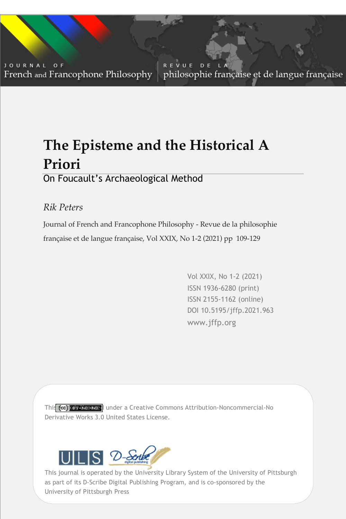JOURNAL OF French and Francophone Philosophy

REVUE DE L philosophie française et de langue française

# **The Episteme and the Historical A Priori**

## On Foucault's Archaeological Method

## *Rik Peters*

Journal of French and Francophone Philosophy - Revue de la philosophie française et de langue française, Vol XXIX, No 1-2 (2021) pp 109-129

> Vol XXIX, No 1-2 (2021) ISSN 1936-6280 (print) ISSN 2155-1162 (online) DOI 10.5195/jffp.2021.963 www.jffp.org

Vol XXIX, No 1-2 (2021) | www.jffp.org | DOI 10.5195/jffp.2021.963

This (co) **kas kicented** under a Creative Commons Attribution-Noncommercial-No Derivative Works 3.0 United States License.



University of Pittsburgh Press This journal is operated by the University Library System of the University of Pittsburgh as part of its D-Scribe Digital Publishing Program, and is co-sponsored by the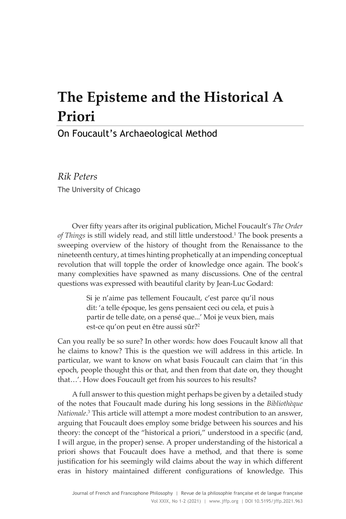## **The Episteme and the Historical A Priori**

### On Foucault's Archaeological Method

*Rik Peters* The University of Chicago

Over fifty years after its original publication, Michel Foucault's *The Order of Things* is still widely read, and still little understood.1 The book presents a sweeping overview of the history of thought from the Renaissance to the nineteenth century, at times hinting prophetically at an impending conceptual revolution that will topple the order of knowledge once again. The book's many complexities have spawned as many discussions. One of the central questions was expressed with beautiful clarity by Jean-Luc Godard:

> Si je n'aime pas tellement Foucault, c'est parce qu'il nous dit: 'a telle époque, les gens pensaient ceci ou cela, et puis à partir de telle date, on a pensé que...' Moi je veux bien, mais est-ce qu'on peut en être aussi sûr?<sup>2</sup>

Can you really be so sure? In other words: how does Foucault know all that he claims to know? This is the question we will address in this article. In particular, we want to know on what basis Foucault can claim that 'in this epoch, people thought this or that, and then from that date on, they thought that…'. How does Foucault get from his sources to his results?

A full answer to this question might perhaps be given by a detailed study of the notes that Foucault made during his long sessions in the *Bibliothèque Nationale*. <sup>3</sup> This article will attempt a more modest contribution to an answer, arguing that Foucault does employ some bridge between his sources and his theory: the concept of the "historical a priori," understood in a specific (and, I will argue, in the proper) sense. A proper understanding of the historical a priori shows that Foucault does have a method, and that there is some justification for his seemingly wild claims about the way in which different eras in history maintained different configurations of knowledge. This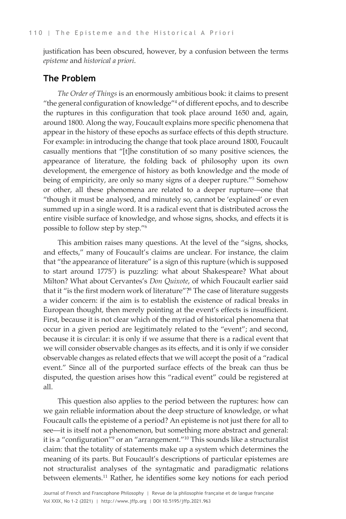justification has been obscured, however, by a confusion between the terms *episteme* and *historical a priori*.

#### **The Problem**

*The Order of Things* is an enormously ambitious book: it claims to present "the general configuration of knowledge"4 of different epochs, and to describe the ruptures in this configuration that took place around 1650 and, again, around 1800. Along the way, Foucault explains more specific phenomena that appear in the history of these epochs as surface effects of this depth structure. For example: in introducing the change that took place around 1800, Foucault casually mentions that "[t]he constitution of so many positive sciences, the appearance of literature, the folding back of philosophy upon its own development, the emergence of history as both knowledge and the mode of being of empiricity, are only so many signs of a deeper rupture."5 Somehow or other, all these phenomena are related to a deeper rupture—one that "though it must be analysed, and minutely so, cannot be 'explained' or even summed up in a single word. It is a radical event that is distributed across the entire visible surface of knowledge, and whose signs, shocks, and effects it is possible to follow step by step."6

This ambition raises many questions. At the level of the "signs, shocks, and effects," many of Foucault's claims are unclear. For instance, the claim that "the appearance of literature" is a sign of this rupture (which is supposed to start around 17757 ) is puzzling: what about Shakespeare? What about Milton? What about Cervantes's *Don Quixote*, of which Foucault earlier said that it "is the first modern work of literature"?<sup>8</sup> The case of literature suggests a wider concern: if the aim is to establish the existence of radical breaks in European thought, then merely pointing at the event's effects is insufficient. First, because it is not clear which of the myriad of historical phenomena that occur in a given period are legitimately related to the "event"; and second, because it is circular: it is only if we assume that there is a radical event that we will consider observable changes as its effects, and it is only if we consider observable changes as related effects that we will accept the posit of a "radical event." Since all of the purported surface effects of the break can thus be disputed, the question arises how this "radical event" could be registered at all.

This question also applies to the period between the ruptures: how can we gain reliable information about the deep structure of knowledge, or what Foucault calls the episteme of a period? An episteme is not just there for all to see—it is itself not a phenomenon, but something more abstract and general: it is a "configuration"<sup>9</sup> or an "arrangement."<sup>10</sup> This sounds like a structuralist claim: that the totality of statements make up a system which determines the meaning of its parts. But Foucault's descriptions of particular epistemes are not structuralist analyses of the syntagmatic and paradigmatic relations between elements.11 Rather, he identifies some key notions for each period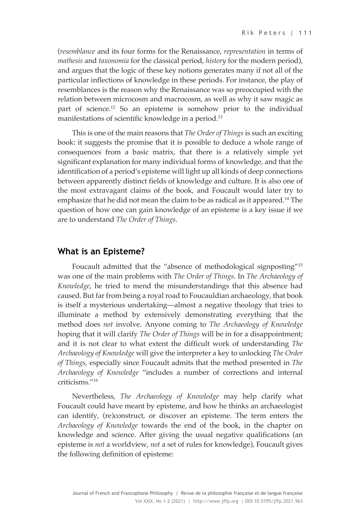(*resemblance* and its four forms for the Renaissance, *representation* in terms of *mathesis* and *taxonomia* for the classical period, *history* for the modern period), and argues that the logic of these key notions generates many if not all of the particular inflections of knowledge in these periods. For instance, the play of resemblances is the reason why the Renaissance was so preoccupied with the relation between microcosm and macrocosm, as well as why it saw magic as part of science.<sup>12</sup> So an episteme is somehow prior to the individual manifestations of scientific knowledge in a period.<sup>13</sup>

This is one of the main reasons that *The Order of Things* is such an exciting book: it suggests the promise that it is possible to deduce a whole range of consequences from a basic matrix, that there is a relatively simple yet significant explanation for many individual forms of knowledge, and that the identification of a period's episteme will light up all kinds of deep connections between apparently distinct fields of knowledge and culture. It is also one of the most extravagant claims of the book, and Foucault would later try to emphasize that he did not mean the claim to be as radical as it appeared.<sup>14</sup> The question of how one can gain knowledge of an episteme is a key issue if we are to understand *The Order of Things*.

#### **What is an Episteme?**

Foucault admitted that the "absence of methodological signposting"15 was one of the main problems with *The Order of Things*. In *The Archaeology of Knowledge*, he tried to mend the misunderstandings that this absence had caused. But far from being a royal road to Foucauldian archaeology, that book is itself a mysterious undertaking—almost a negative theology that tries to illuminate a method by extensively demonstrating everything that the method does *not* involve. Anyone coming to *The Archaeology of Knowledge*  hoping that it will clarify *The Order of Things* will be in for a disappointment; and it is not clear to what extent the difficult work of understanding *The Archaeology of Knowledge* will give the interpreter a key to unlocking *The Order of Things*, especially since Foucault admits that the method presented in *The Archaeology of Knowledge* "includes a number of corrections and internal criticisms."16

Nevertheless, *The Archaeology of Knowledge* may help clarify what Foucault could have meant by episteme, and how he thinks an archaeologist can identify, (re)construct, or discover an episteme. The term enters the *Archaeology of Knowledge* towards the end of the book, in the chapter on knowledge and science. After giving the usual negative qualifications (an episteme is *not* a worldview, *not* a set of rules for knowledge), Foucault gives the following definition of episteme: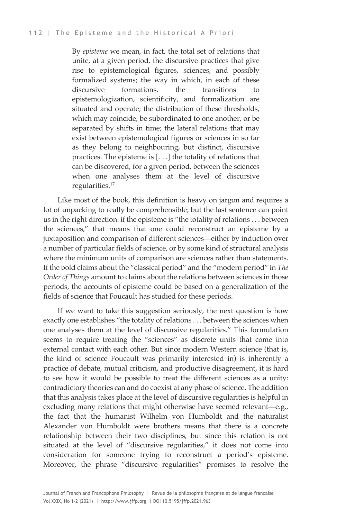By *episteme* we mean, in fact, the total set of relations that unite, at a given period, the discursive practices that give rise to epistemological figures, sciences, and possibly formalized systems; the way in which, in each of these discursive formations, the transitions to epistemologization, scientificity, and formalization are situated and operate; the distribution of these thresholds, which may coincide, be subordinated to one another, or be separated by shifts in time; the lateral relations that may exist between epistemological figures or sciences in so far as they belong to neighbouring, but distinct, discursive practices. The episteme is [. . .] the totality of relations that can be discovered, for a given period, between the sciences when one analyses them at the level of discursive regularities.<sup>17</sup>

Like most of the book, this definition is heavy on jargon and requires a lot of unpacking to really be comprehensible; but the last sentence can point us in the right direction: if the episteme is "the totality of relations . . . between the sciences," that means that one could reconstruct an episteme by a juxtaposition and comparison of different sciences—either by induction over a number of particular fields of science, or by some kind of structural analysis where the minimum units of comparison are sciences rather than statements. If the bold claims about the "classical period" and the "modern period" in *The Order of Things* amount to claims about the relations between sciences in those periods, the accounts of episteme could be based on a generalization of the fields of science that Foucault has studied for these periods.

If we want to take this suggestion seriously, the next question is how exactly one establishes "the totality of relations . . . between the sciences when one analyses them at the level of discursive regularities." This formulation seems to require treating the "sciences" as discrete units that come into external contact with each other. But since modern Western science (that is, the kind of science Foucault was primarily interested in) is inherently a practice of debate, mutual criticism, and productive disagreement, it is hard to see how it would be possible to treat the different sciences as a unity: contradictory theories can and do coexist at any phase of science. The addition that this analysis takes place at the level of discursive regularities is helpful in excluding many relations that might otherwise have seemed relevant—e.g., the fact that the humanist Wilhelm von Humboldt and the naturalist Alexander von Humboldt were brothers means that there is a concrete relationship between their two disciplines, but since this relation is not situated at the level of "discursive regularities," it does not come into consideration for someone trying to reconstruct a period's episteme. Moreover, the phrase "discursive regularities" promises to resolve the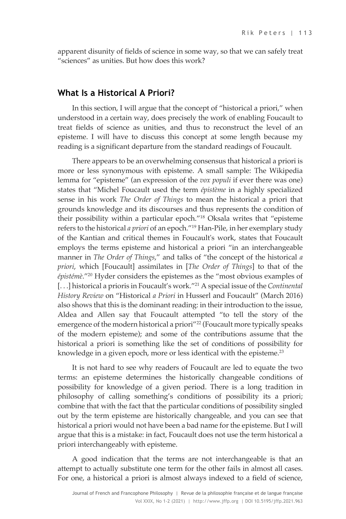apparent disunity of fields of science in some way, so that we can safely treat "sciences" as unities. But how does this work?

#### **What Is a Historical A Priori?**

In this section, I will argue that the concept of "historical a priori," when understood in a certain way, does precisely the work of enabling Foucault to treat fields of science as unities, and thus to reconstruct the level of an episteme. I will have to discuss this concept at some length because my reading is a significant departure from the standard readings of Foucault.

There appears to be an overwhelming consensus that historical a priori is more or less synonymous with episteme. A small sample: The Wikipedia lemma for "episteme" (an expression of the *vox populi* if ever there was one) states that "Michel Foucault used the term *épistème* in a highly specialized sense in his work *The Order of Things* to mean the historical a priori that grounds knowledge and its discourses and thus represents the condition of their possibility within a particular epoch."18 Oksala writes that "episteme refers to the historical *a priori* of an epoch."19 Han-Pile, in her exemplary study of the Kantian and critical themes in Foucault's work, states that Foucault employs the terms episteme and historical a priori "in an interchangeable manner in *The Order of Things*," and talks of "the concept of the historical *a priori*, which [Foucault] assimilates in [*The Order of Things*] to that of the *épistémè*."20 Hyder considers the epistemes as the "most obvious examples of [...] historical a prioris in Foucault's work.<sup>"21</sup> A special issue of the *Continental History Review* on "Historical *a Priori* in Husserl and Foucault" (March 2016) also shows that this is the dominant reading: in their introduction to the issue, Aldea and Allen say that Foucault attempted "to tell the story of the emergence of the modern historical a priori"<sup>22</sup> (Foucault more typically speaks of the modern episteme); and some of the contributions assume that the historical a priori is something like the set of conditions of possibility for knowledge in a given epoch, more or less identical with the episteme. 23

It is not hard to see why readers of Foucault are led to equate the two terms: an episteme determines the historically changeable conditions of possibility for knowledge of a given period. There is a long tradition in philosophy of calling something's conditions of possibility its a priori; combine that with the fact that the particular conditions of possibility singled out by the term episteme are historically changeable, and you can see that historical a priori would not have been a bad name for the episteme. But I will argue that this is a mistake: in fact, Foucault does not use the term historical a priori interchangeably with episteme.

A good indication that the terms are not interchangeable is that an attempt to actually substitute one term for the other fails in almost all cases. For one, a historical a priori is almost always indexed to a field of science,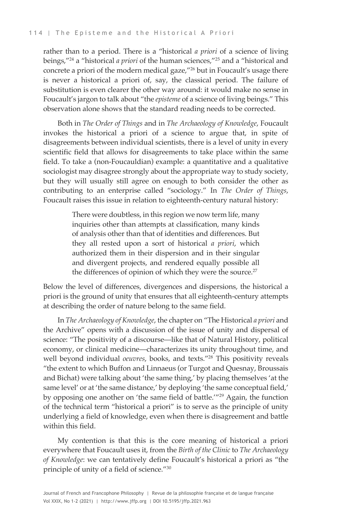rather than to a period. There is a "historical *a priori* of a science of living beings,"24 a "historical *a priori* of the human sciences,"25 and a "historical and concrete a priori of the modern medical gaze,"<sup>26</sup> but in Foucault's usage there is never a historical a priori of, say, the classical period. The failure of substitution is even clearer the other way around: it would make no sense in Foucault's jargon to talk about "the *episteme* of a science of living beings." This observation alone shows that the standard reading needs to be corrected.

Both in *The Order of Things* and in *The Archaeology of Knowledge*, Foucault invokes the historical a priori of a science to argue that, in spite of disagreements between individual scientists, there is a level of unity in every scientific field that allows for disagreements to take place within the same field. To take a (non-Foucauldian) example: a quantitative and a qualitative sociologist may disagree strongly about the appropriate way to study society, but they will usually still agree on enough to both consider the other as contributing to an enterprise called "sociology." In *The Order of Things*, Foucault raises this issue in relation to eighteenth-century natural history:

> There were doubtless, in this region we now term life, many inquiries other than attempts at classification, many kinds of analysis other than that of identities and differences. But they all rested upon a sort of historical *a priori*, which authorized them in their dispersion and in their singular and divergent projects, and rendered equally possible all the differences of opinion of which they were the source.<sup>27</sup>

Below the level of differences, divergences and dispersions, the historical a priori is the ground of unity that ensures that all eighteenth-century attempts at describing the order of nature belong to the same field.

In *The Archaeology of Knowledge*, the chapter on "The Historical *a priori* and the Archive" opens with a discussion of the issue of unity and dispersal of science: "The positivity of a discourse—like that of Natural History, political economy, or clinical medicine—characterizes its unity throughout time, and well beyond individual *oeuvres*, books, and texts."28 This positivity reveals "the extent to which Buffon and Linnaeus (or Turgot and Quesnay, Broussais and Bichat) were talking about 'the same thing,' by placing themselves 'at the same level' or at 'the same distance,' by deploying 'the same conceptual field,' by opposing one another on 'the same field of battle.'"29 Again, the function of the technical term "historical a priori" is to serve as the principle of unity underlying a field of knowledge, even when there is disagreement and battle within this field.

My contention is that this is the core meaning of historical a priori everywhere that Foucault uses it, from the *Birth of the Clinic* to *The Archaeology of Knowledge*: we can tentatively define Foucault's historical a priori as "the principle of unity of a field of science."30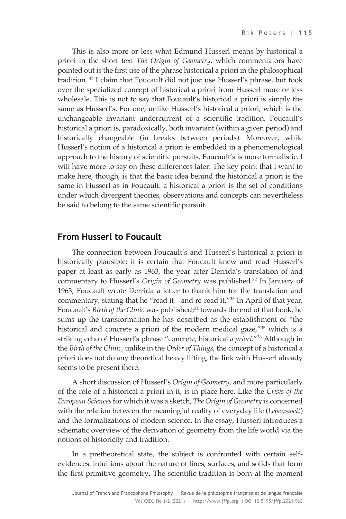This is also more or less what Edmund Husserl means by historical a priori in the short text *The Origin of Geometry*, which commentators have pointed out is the first use of the phrase historical a priori in the philosophical tradition. <sup>31</sup> I claim that Foucault did not just use Husserl's phrase, but took over the specialized concept of historical a priori from Husserl more or less wholesale. This is not to say that Foucault's historical a priori is simply the same as Husserl's. For one, unlike Husserl's historical a priori, which is the unchangeable invariant undercurrent of a scientific tradition, Foucault's historical a priori is, paradoxically, both invariant (within a given period) and historically changeable (in breaks between periods). Moreover, while Husserl's notion of a historical a priori is embedded in a phenomenological approach to the history of scientific pursuits, Foucault's is more formalistic. I will have more to say on these differences later. The key point that I want to make here, though, is that the basic idea behind the historical a priori is the same in Husserl as in Foucault: a historical a priori is the set of conditions under which divergent theories, observations and concepts can nevertheless be said to belong to the same scientific pursuit.

#### **From Husserl to Foucault**

The connection between Foucault's and Husserl's historical a priori is historically plausible: it is certain that Foucault knew and read Husserl's paper at least as early as 1963, the year after Derrida's translation of and commentary to Husserl's *Origin of Geometry* was published.32 In January of 1963, Foucault wrote Derrida a letter to thank him for the translation and commentary, stating that he "read it—and re-read it."<sup>33</sup> In April of that year, Foucault's *Birth of the Clinic* was published;<sup>34</sup> towards the end of that book, he sums up the transformation he has described as the establishment of "the historical and concrete a priori of the modern medical gaze,"35 which is a striking echo of Husserl's phrase "concrete, historical *a priori*."36 Although in the *Birth of the Clinic*, unlike in the *Order of Things*, the concept of a historical a priori does not do any theoretical heavy lifting, the link with Husserl already seems to be present there.

A short discussion of Husserl's *Origin of Geometry*, and more particularly of the role of a historical a priori in it, is in place here. Like the *Crisis of the European Sciences* for which it was a sketch, *The Origin of Geometry* is concerned with the relation between the meaningful reality of everyday life (*Lebenswelt*) and the formalizations of modern science. In the essay, Husserl introduces a schematic overview of the derivation of geometry from the life world via the notions of historicity and tradition.

In a pretheoretical state, the subject is confronted with certain selfevidences: intuitions about the nature of lines, surfaces, and solids that form the first primitive geometry. The scientific tradition is born at the moment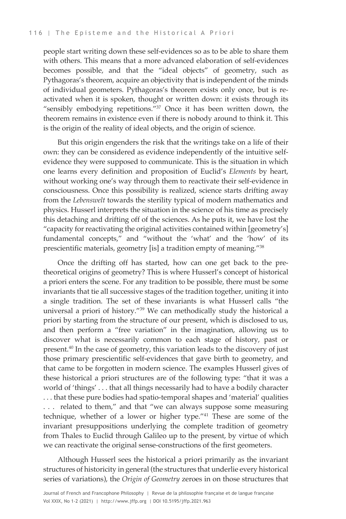people start writing down these self-evidences so as to be able to share them with others. This means that a more advanced elaboration of self-evidences becomes possible, and that the "ideal objects" of geometry, such as Pythagoras's theorem, acquire an objectivity that is independent of the minds of individual geometers. Pythagoras's theorem exists only once, but is reactivated when it is spoken, thought or written down: it exists through its "sensibly embodying repetitions."<sup>37</sup> Once it has been written down, the theorem remains in existence even if there is nobody around to think it. This is the origin of the reality of ideal objects, and the origin of science.

But this origin engenders the risk that the writings take on a life of their own: they can be considered as evidence independently of the intuitive selfevidence they were supposed to communicate. This is the situation in which one learns every definition and proposition of Euclid's *Elements* by heart, without working one's way through them to reactivate their self-evidence in consciousness. Once this possibility is realized, science starts drifting away from the *Lebenswelt* towards the sterility typical of modern mathematics and physics. Husserl interprets the situation in the science of his time as precisely this detaching and drifting off of the sciences. As he puts it, we have lost the "capacity for reactivating the original activities contained within [geometry's] fundamental concepts," and "without the 'what' and the 'how' of its prescientific materials, geometry [is] a tradition empty of meaning."38

Once the drifting off has started, how can one get back to the pretheoretical origins of geometry? This is where Husserl's concept of historical a priori enters the scene. For any tradition to be possible, there must be some invariants that tie all successive stages of the tradition together, uniting it into a single tradition. The set of these invariants is what Husserl calls "the universal a priori of history."39 We can methodically study the historical a priori by starting from the structure of our present, which is disclosed to us, and then perform a "free variation" in the imagination, allowing us to discover what is necessarily common to each stage of history, past or present.40 In the case of geometry, this variation leads to the discovery of just those primary prescientific self-evidences that gave birth to geometry, and that came to be forgotten in modern science. The examples Husserl gives of these historical a priori structures are of the following type: "that it was a world of 'things' . . . that all things necessarily had to have a bodily character . . . that these pure bodies had spatio-temporal shapes and 'material' qualities . . . related to them," and that "we can always suppose some measuring technique, whether of a lower or higher type."41 These are some of the invariant presuppositions underlying the complete tradition of geometry from Thales to Euclid through Galileo up to the present, by virtue of which we can reactivate the original sense-constructions of the first geometers.

Although Husserl sees the historical a priori primarily as the invariant structures of historicity in general (the structures that underlie every historical series of variations), the *Origin of Geometry* zeroes in on those structures that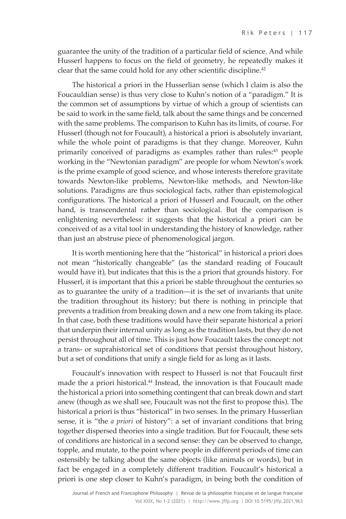guarantee the unity of the tradition of a particular field of science. And while Husserl happens to focus on the field of geometry, he repeatedly makes it clear that the same could hold for any other scientific discipline.<sup>42</sup>

The historical a priori in the Husserlian sense (which I claim is also the Foucauldian sense) is thus very close to Kuhn's notion of a "paradigm." It is the common set of assumptions by virtue of which a group of scientists can be said to work in the same field, talk about the same things and be concerned with the same problems. The comparison to Kuhn has its limits, of course. For Husserl (though not for Foucault), a historical a priori is absolutely invariant, while the whole point of paradigms is that they change. Moreover, Kuhn primarily conceived of paradigms as examples rather than rules:<sup>43</sup> people working in the "Newtonian paradigm" are people for whom Newton's work is the prime example of good science, and whose interests therefore gravitate towards Newton-like problems, Newton-like methods, and Newton-like solutions. Paradigms are thus sociological facts, rather than epistemological configurations. The historical a priori of Husserl and Foucault, on the other hand, is transcendental rather than sociological. But the comparison is enlightening nevertheless: it suggests that the historical a priori can be conceived of as a vital tool in understanding the history of knowledge, rather than just an abstruse piece of phenomenological jargon.

It is worth mentioning here that the "historical" in historical a priori does not mean "historically changeable" (as the standard reading of Foucault would have it), but indicates that this is the a priori that grounds history. For Husserl, it is important that this a priori be stable throughout the centuries so as to guarantee the unity of a tradition—it is the set of invariants that unite the tradition throughout its history; but there is nothing in principle that prevents a tradition from breaking down and a new one from taking its place. In that case, both these traditions would have their separate historical a priori that underpin their internal unity as long as the tradition lasts, but they do not persist throughout all of time. This is just how Foucault takes the concept: not a trans- or suprahistorical set of conditions that persist throughout history, but a set of conditions that unify a single field for as long as it lasts.

Foucault's innovation with respect to Husserl is not that Foucault first made the a priori historical. <sup>44</sup> Instead, the innovation is that Foucault made the historical a priori into something contingent that can break down and start anew (though as we shall see, Foucault was not the first to propose this). The historical a priori is thus "historical" in two senses. In the primary Husserlian sense, it is "the *a priori* of history": a set of invariant conditions that bring together dispersed theories into a single tradition. But for Foucault, these sets of conditions are historical in a second sense: they can be observed to change, topple, and mutate, to the point where people in different periods of time can ostensibly be talking about the same objects (like animals or words), but in fact be engaged in a completely different tradition. Foucault's historical a priori is one step closer to Kuhn's paradigm, in being both the condition of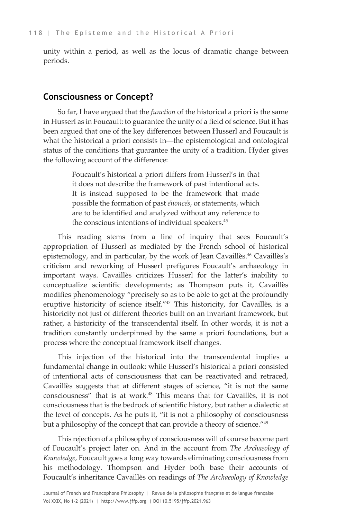unity within a period, as well as the locus of dramatic change between periods.

#### **Consciousness or Concept?**

So far, I have argued that the *function* of the historical a priori is the same in Husserl as in Foucault: to guarantee the unity of a field of science. But it has been argued that one of the key differences between Husserl and Foucault is what the historical a priori consists in—the epistemological and ontological status of the conditions that guarantee the unity of a tradition. Hyder gives the following account of the difference:

> Foucault's historical a priori differs from Husserl's in that it does not describe the framework of past intentional acts. It is instead supposed to be the framework that made possible the formation of past *énoncés*, or statements, which are to be identified and analyzed without any reference to the conscious intentions of individual speakers.<sup>45</sup>

This reading stems from a line of inquiry that sees Foucault's appropriation of Husserl as mediated by the French school of historical epistemology, and in particular, by the work of Jean Cavaillès.<sup>46</sup> Cavaillès's criticism and reworking of Husserl prefigures Foucault's archaeology in important ways. Cavaillès criticizes Husserl for the latter's inability to conceptualize scientific developments; as Thompson puts it, Cavaillès modifies phenomenology "precisely so as to be able to get at the profoundly eruptive historicity of science itself."<sup>47</sup> This historicity, for Cavaillès, is a historicity not just of different theories built on an invariant framework, but rather, a historicity of the transcendental itself. In other words, it is not a tradition constantly underpinned by the same a priori foundations, but a process where the conceptual framework itself changes.

This injection of the historical into the transcendental implies a fundamental change in outlook: while Husserl's historical a priori consisted of intentional acts of consciousness that can be reactivated and retraced, Cavaillès suggests that at different stages of science, "it is not the same consciousness" that is at work.<sup>48</sup> This means that for Cavaillès, it is not consciousness that is the bedrock of scientific history, but rather a dialectic at the level of concepts. As he puts it, "it is not a philosophy of consciousness but a philosophy of the concept that can provide a theory of science."<sup>49</sup>

This rejection of a philosophy of consciousness will of course become part of Foucault's project later on. And in the account from *The Archaeology of Knowledge*, Foucault goes a long way towards eliminating consciousness from his methodology. Thompson and Hyder both base their accounts of Foucault's inheritance Cavaillès on readings of *The Archaeology of Knowledge*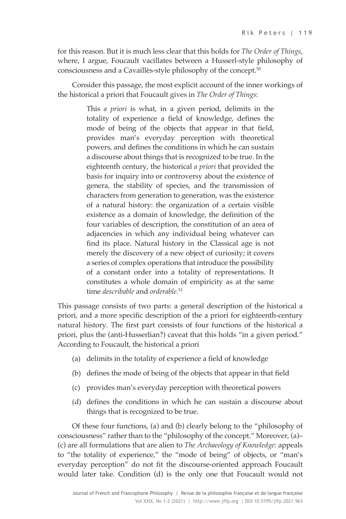for this reason. But it is much less clear that this holds for *The Order of Things*, where, I argue, Foucault vacillates between a Husserl-style philosophy of consciousness and a Cavaillès-style philosophy of the concept.<sup>50</sup>

Consider this passage, the most explicit account of the inner workings of the historical a priori that Foucault gives in *The Order of Things*:

> This *a priori* is what, in a given period, delimits in the totality of experience a field of knowledge, defines the mode of being of the objects that appear in that field, provides man's everyday perception with theoretical powers, and defines the conditions in which he can sustain a discourse about things that is recognized to be true. In the eighteenth century, the historical *a priori* that provided the basis for inquiry into or controversy about the existence of genera, the stability of species, and the transmission of characters from generation to generation, was the existence of a natural history: the organization of a certain visible existence as a domain of knowledge, the definition of the four variables of description, the constitution of an area of adjacencies in which any individual being whatever can find its place. Natural history in the Classical age is not merely the discovery of a new object of curiosity; it covers a series of complex operations that introduce the possibility of a constant order into a totality of representations. It constitutes a whole domain of empiricity as at the same time *describable* and *orderable*. 51

This passage consists of two parts: a general description of the historical a priori, and a more specific description of the a priori for eighteenth-century natural history. The first part consists of four functions of the historical a priori, plus the (anti-Husserlian?) caveat that this holds "in a given period." According to Foucault, the historical a priori

- (a) delimits in the totality of experience a field of knowledge
- (b) defines the mode of being of the objects that appear in that field
- (c) provides man's everyday perception with theoretical powers
- (d) defines the conditions in which he can sustain a discourse about things that is recognized to be true.

Of these four functions, (a) and (b) clearly belong to the "philosophy of consciousness" rather than to the "philosophy of the concept." Moreover, (a)– (c) are all formulations that are alien to *The Archaeology of Knowledge*: appeals to "the totality of experience," the "mode of being" of objects, or "man's everyday perception" do not fit the discourse-oriented approach Foucault would later take. Condition (d) is the only one that Foucault would not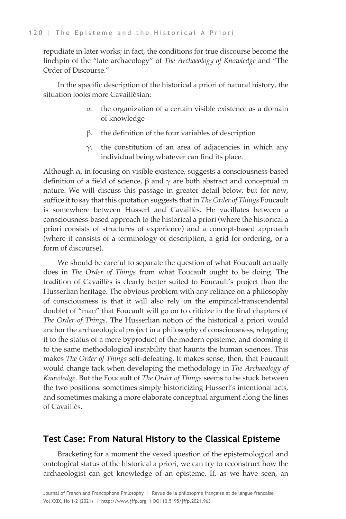repudiate in later works; in fact, the conditions for true discourse become the linchpin of the "late archaeology" of *The Archaeology of Knowledge* and "The Order of Discourse."

In the specific description of the historical a priori of natural history, the situation looks more Cavaillèsian:

- $\alpha$ . the organization of a certain visible existence as a domain of knowledge
- β. the definition of the four variables of description
- $γ$ . the constitution of an area of adjacencies in which any individual being whatever can find its place.

Although  $\alpha$ , in focusing on visible existence, suggests a consciousness-based definition of a field of science,  $β$  and  $γ$  are both abstract and conceptual in nature. We will discuss this passage in greater detail below, but for now, suffice it to say that this quotation suggests that in *The Order of Things* Foucault is somewhere between Husserl and Cavaillès. He vacillates between a consciousness-based approach to the historical a priori (where the historical a priori consists of structures of experience) and a concept-based approach (where it consists of a terminology of description, a grid for ordering, or a form of discourse).

We should be careful to separate the question of what Foucault actually does in *The Order of Things* from what Foucault ought to be doing. The tradition of Cavaillès is clearly better suited to Foucault's project than the Husserlian heritage. The obvious problem with any reliance on a philosophy of consciousness is that it will also rely on the empirical-transcendental doublet of "man" that Foucault will go on to criticize in the final chapters of *The Order of Things*. The Husserlian notion of the historical a priori would anchor the archaeological project in a philosophy of consciousness, relegating it to the status of a mere byproduct of the modern episteme, and dooming it to the same methodological instability that haunts the human sciences. This makes *The Order of Things* self-defeating. It makes sense, then, that Foucault would change tack when developing the methodology in *The Archaeology of Knowledge*. But the Foucault of *The Order of Things* seems to be stuck between the two positions: sometimes simply historicizing Husserl's intentional acts, and sometimes making a more elaborate conceptual argument along the lines of Cavaillès.

#### **Test Case: From Natural History to the Classical Episteme**

Bracketing for a moment the vexed question of the epistemological and ontological status of the historical a priori, we can try to reconstruct how the archaeologist can get knowledge of an episteme. If, as we have seen, an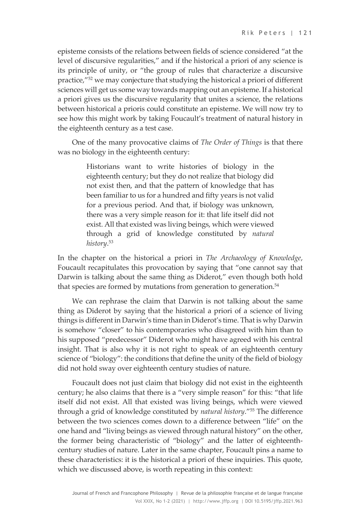episteme consists of the relations between fields of science considered "at the level of discursive regularities," and if the historical a priori of any science is its principle of unity, or "the group of rules that characterize a discursive practice,"52 we may conjecture that studying the historical a priori of different sciences will get us some way towards mapping out an episteme. If a historical a priori gives us the discursive regularity that unites a science, the relations between historical a prioris could constitute an episteme. We will now try to see how this might work by taking Foucault's treatment of natural history in the eighteenth century as a test case.

One of the many provocative claims of *The Order of Things* is that there was no biology in the eighteenth century:

> Historians want to write histories of biology in the eighteenth century; but they do not realize that biology did not exist then, and that the pattern of knowledge that has been familiar to us for a hundred and fifty years is not valid for a previous period. And that, if biology was unknown, there was a very simple reason for it: that life itself did not exist. All that existed was living beings, which were viewed through a grid of knowledge constituted by *natural history*. 53

In the chapter on the historical a priori in *The Archaeology of Knowledge*, Foucault recapitulates this provocation by saying that "one cannot say that Darwin is talking about the same thing as Diderot," even though both hold that species are formed by mutations from generation to generation.<sup>54</sup>

We can rephrase the claim that Darwin is not talking about the same thing as Diderot by saying that the historical a priori of a science of living things is different in Darwin's time than in Diderot's time. That is why Darwin is somehow "closer" to his contemporaries who disagreed with him than to his supposed "predecessor" Diderot who might have agreed with his central insight. That is also why it is not right to speak of an eighteenth century science of "biology": the conditions that define the unity of the field of biology did not hold sway over eighteenth century studies of nature.

Foucault does not just claim that biology did not exist in the eighteenth century; he also claims that there is a "very simple reason" for this: "that life itself did not exist. All that existed was living beings, which were viewed through a grid of knowledge constituted by *natural history*."55 The difference between the two sciences comes down to a difference between "life" on the one hand and "living beings as viewed through natural history" on the other, the former being characteristic of "biology" and the latter of eighteenthcentury studies of nature. Later in the same chapter, Foucault pins a name to these characteristics: it is the historical a priori of these inquiries. This quote, which we discussed above, is worth repeating in this context: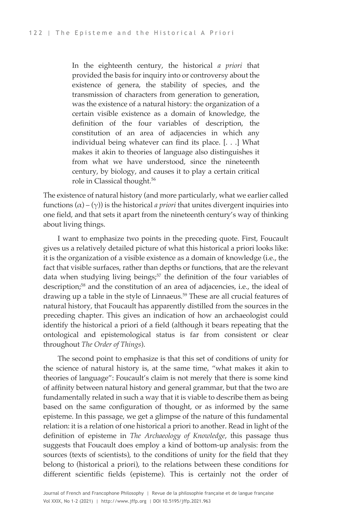In the eighteenth century, the historical *a priori* that provided the basis for inquiry into or controversy about the existence of genera, the stability of species, and the transmission of characters from generation to generation, was the existence of a natural history: the organization of a certain visible existence as a domain of knowledge, the definition of the four variables of description, the constitution of an area of adjacencies in which any individual being whatever can find its place. [. . .] What makes it akin to theories of language also distinguishes it from what we have understood, since the nineteenth century, by biology, and causes it to play a certain critical role in Classical thought.56

The existence of natural history (and more particularly, what we earlier called functions (α) – (γ)) is the historical *a priori* that unites divergent inquiries into one field, and that sets it apart from the nineteenth century's way of thinking about living things.

I want to emphasize two points in the preceding quote. First, Foucault gives us a relatively detailed picture of what this historical a priori looks like: it is the organization of a visible existence as a domain of knowledge (i.e., the fact that visible surfaces, rather than depths or functions, that are the relevant data when studying living beings; <sup>57</sup> the definition of the four variables of description; <sup>58</sup> and the constitution of an area of adjacencies, i.e., the ideal of drawing up a table in the style of Linnaeus.<sup>59</sup> These are all crucial features of natural history, that Foucault has apparently distilled from the sources in the preceding chapter. This gives an indication of how an archaeologist could identify the historical a priori of a field (although it bears repeating that the ontological and epistemological status is far from consistent or clear throughout *The Order of Things*).

The second point to emphasize is that this set of conditions of unity for the science of natural history is, at the same time, "what makes it akin to theories of language": Foucault's claim is not merely that there is some kind of affinity between natural history and general grammar, but that the two are fundamentally related in such a way that it is viable to describe them as being based on the same configuration of thought, or as informed by the same episteme. In this passage, we get a glimpse of the nature of this fundamental relation: it is a relation of one historical a priori to another. Read in light of the definition of episteme in *The Archaeology of Knowledge*, this passage thus suggests that Foucault does employ a kind of bottom-up analysis: from the sources (texts of scientists), to the conditions of unity for the field that they belong to (historical a priori), to the relations between these conditions for different scientific fields (episteme). This is certainly not the order of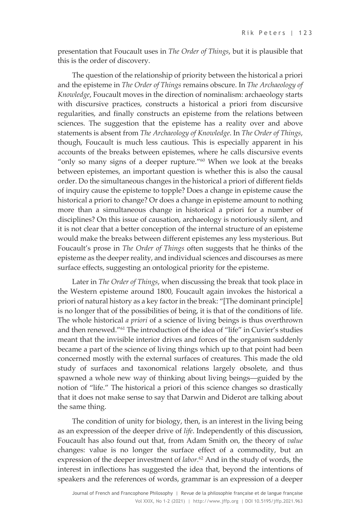presentation that Foucault uses in *The Order of Things*, but it is plausible that this is the order of discovery.

The question of the relationship of priority between the historical a priori and the episteme in *The Order of Things* remains obscure. In *The Archaeology of Knowledge*, Foucault moves in the direction of nominalism: archaeology starts with discursive practices, constructs a historical a priori from discursive regularities, and finally constructs an episteme from the relations between sciences. The suggestion that the episteme has a reality over and above statements is absent from *The Archaeology of Knowledge*. In *The Order of Things*, though, Foucault is much less cautious. This is especially apparent in his accounts of the breaks between epistemes, where he calls discursive events "only so many signs of a deeper rupture."<sup>60</sup> When we look at the breaks between epistemes, an important question is whether this is also the causal order. Do the simultaneous changes in the historical a priori of different fields of inquiry cause the episteme to topple? Does a change in episteme cause the historical a priori to change? Or does a change in episteme amount to nothing more than a simultaneous change in historical a priori for a number of disciplines? On this issue of causation, archaeology is notoriously silent, and it is not clear that a better conception of the internal structure of an episteme would make the breaks between different epistemes any less mysterious. But Foucault's prose in *The Order of Things* often suggests that he thinks of the episteme as the deeper reality, and individual sciences and discourses as mere surface effects, suggesting an ontological priority for the episteme.

Later in *The Order of Things*, when discussing the break that took place in the Western episteme around 1800, Foucault again invokes the historical a priori of natural history as a key factor in the break: "[The dominant principle] is no longer that of the possibilities of being, it is that of the conditions of life. The whole historical *a priori* of a science of living beings is thus overthrown and then renewed."61 The introduction of the idea of "life" in Cuvier's studies meant that the invisible interior drives and forces of the organism suddenly became a part of the science of living things which up to that point had been concerned mostly with the external surfaces of creatures. This made the old study of surfaces and taxonomical relations largely obsolete, and thus spawned a whole new way of thinking about living beings—guided by the notion of "life." The historical a priori of this science changes so drastically that it does not make sense to say that Darwin and Diderot are talking about the same thing.

The condition of unity for biology, then, is an interest in the living being as an expression of the deeper drive of *life*. Independently of this discussion, Foucault has also found out that, from Adam Smith on, the theory of *value*  changes: value is no longer the surface effect of a commodity, but an expression of the deeper investment of *labor*. <sup>62</sup> And in the study of words, the interest in inflections has suggested the idea that, beyond the intentions of speakers and the references of words, grammar is an expression of a deeper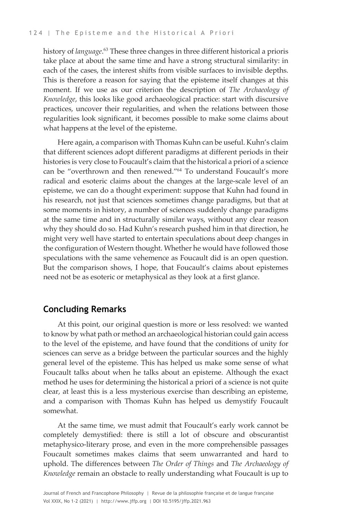history of *language*. <sup>63</sup> These three changes in three different historical a prioris take place at about the same time and have a strong structural similarity: in each of the cases, the interest shifts from visible surfaces to invisible depths. This is therefore a reason for saying that the episteme itself changes at this moment. If we use as our criterion the description of *The Archaeology of Knowledge*, this looks like good archaeological practice: start with discursive practices, uncover their regularities, and when the relations between those regularities look significant, it becomes possible to make some claims about what happens at the level of the episteme.

Here again, a comparison with Thomas Kuhn can be useful. Kuhn's claim that different sciences adopt different paradigms at different periods in their histories is very close to Foucault's claim that the historical a priori of a science can be "overthrown and then renewed."64 To understand Foucault's more radical and esoteric claims about the changes at the large-scale level of an episteme, we can do a thought experiment: suppose that Kuhn had found in his research, not just that sciences sometimes change paradigms, but that at some moments in history, a number of sciences suddenly change paradigms at the same time and in structurally similar ways, without any clear reason why they should do so. Had Kuhn's research pushed him in that direction, he might very well have started to entertain speculations about deep changes in the configuration of Western thought. Whether he would have followed those speculations with the same vehemence as Foucault did is an open question. But the comparison shows, I hope, that Foucault's claims about epistemes need not be as esoteric or metaphysical as they look at a first glance.

#### **Concluding Remarks**

At this point, our original question is more or less resolved: we wanted to know by what path or method an archaeological historian could gain access to the level of the episteme, and have found that the conditions of unity for sciences can serve as a bridge between the particular sources and the highly general level of the episteme. This has helped us make some sense of what Foucault talks about when he talks about an episteme. Although the exact method he uses for determining the historical a priori of a science is not quite clear, at least this is a less mysterious exercise than describing an episteme, and a comparison with Thomas Kuhn has helped us demystify Foucault somewhat.

At the same time, we must admit that Foucault's early work cannot be completely demystified: there is still a lot of obscure and obscurantist metaphysico-literary prose, and even in the more comprehensible passages Foucault sometimes makes claims that seem unwarranted and hard to uphold. The differences between *The Order of Things* and *The Archaeology of Knowledge* remain an obstacle to really understanding what Foucault is up to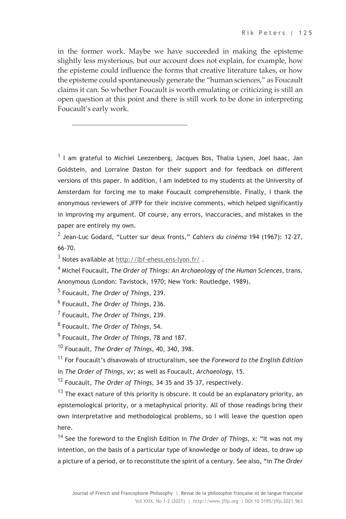in the former work. Maybe we have succeeded in making the episteme slightly less mysterious, but our account does not explain, for example, how the episteme could influence the forms that creative literature takes, or how the episteme could spontaneously generate the "human sciences," as Foucault claims it can. So whether Foucault is worth emulating or criticizing is still an open question at this point and there is still work to be done in interpreting Foucault's early work.

 $1$  I am grateful to Michiel Leezenberg, Jacques Bos, Thalia Lysen, Joel Isaac, Jan Goldstein, and Lorraine Daston for their support and for feedback on different versions of this paper. In addition, I am indebted to my students at the University of Amsterdam for forcing me to make Foucault comprehensible. Finally, I thank the anonymous reviewers of JFFP for their incisive comments, which helped significantly in improving my argument. Of course, any errors, inaccuracies, and mistakes in the paper are entirely my own.

<sup>2</sup> Jean-Luc Godard, "Lutter sur deux fronts," *Cahiers du cinéma* 194 (1967): 12–27, 66–70.

 $3$  Notes available at http://lbf-ehess.ens-lyon.fr/.

<sup>4</sup> Michel Foucault, *The Order of Things: An Archaeology of the Human Sciences*, trans. Anonymous (London: Tavistock, 1970; New York: Routledge, 1989).

<sup>11</sup> For Foucault's disavowals of structuralism, see the *Foreword to the English Edition*  in *The Order of Things*, xv; as well as Foucault, *Archaeology*, 15.

<sup>12</sup> Foucault, *The Order of Things*, 34–35 and 35–37, respectively.

 $13$  The exact nature of this priority is obscure. It could be an explanatory priority, an epistemological priority, or a metaphysical priority. All of those readings bring their own interpretative and methodological problems, so I will leave the question open here.

<sup>14</sup> See the foreword to the English Edition in *The Order of Things*, x: "It was not my intention, on the basis of a particular type of knowledge or body of ideas, to draw up a picture of a period, or to reconstitute the spirit of a century. See also, "in *The Order* 

<sup>5</sup> Foucault, *The Order of Things*, 239.

<sup>6</sup> Foucault, *The Order of Things*, 236.

<sup>7</sup> Foucault, *The Order of Things*, 239.

<sup>8</sup> Foucault, *The Order of Things*, 54.

<sup>9</sup> Foucault, *The Order of Things*, 78 and 187.

<sup>10</sup> Foucault, *The Order of Things*, 40, 340, 398.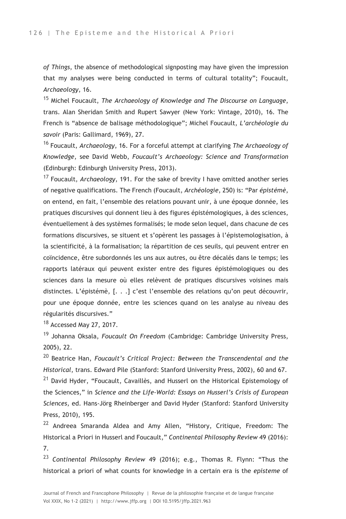*of Things*, the absence of methodological signposting may have given the impression that my analyses were being conducted in terms of cultural totality"; Foucault, *Archaeology*, 16.

<sup>15</sup> Michel Foucault, *The Archaeology of Knowledge and The Discourse on Language*, trans. Alan Sheridan Smith and Rupert Sawyer (New York: Vintage, 2010), 16. The French is "absence de balisage méthodologique"; Michel Foucault, *L'archéologie du savoir* (Paris: Gallimard, 1969), 27.

<sup>16</sup> Foucault, *Archaeology*, 16. For a forceful attempt at clarifying *The Archaeology of Knowledge*, see David Webb, *Foucault's Archaeology: Science and Transformation*  (Edinburgh: Edinburgh University Press, 2013).

<sup>17</sup> Foucault, *Archaeology*, 191. For the sake of brevity I have omitted another series of negative qualifications. The French (Foucault, *Archéologie*, 250) is: "Par *épistémè*, on entend, en fait, l'ensemble des relations pouvant unir, à une époque donnée, les pratiques discursives qui donnent lieu à des figures épistémologiques, à des sciences, éventuellement à des systèmes formalisés; le mode selon lequel, dans chacune de ces formations discursives, se situent et s'opèrent les passages à l'épistemologisation, à la scientificité, à la formalisation; la répartition de ces seuils, qui peuvent entrer en coïncidence, être subordonnés les uns aux autres, ou être décalés dans le temps; les rapports latéraux qui peuvent exister entre des figures épistémologiques ou des sciences dans la mesure où elles relèvent de pratiques discursives voisines mais distinctes. L'épistémè, [. . .] c'est l'ensemble des relations qu'on peut découvrir, pour une époque donnée, entre les sciences quand on les analyse au niveau des régularités discursives."

<sup>18</sup> Accessed May 27, 2017.

<sup>19</sup> Johanna Oksala, *Foucault On Freedom* (Cambridge: Cambridge University Press, 2005), 22.

<sup>20</sup> Beatrice Han, *Foucault's Critical Project: Between the Transcendental and the Historical*, trans. Edward Pile (Stanford: Stanford University Press, 2002), 60 and 67. <sup>21</sup> David Hyder, "Foucault, Cavaillès, and Husserl on the Historical Epistemology of the Sciences," in *Science and the Life-World: Essays on Husserl's Crisis of European Sciences*, ed. Hans-Jörg Rheinberger and David Hyder (Stanford: Stanford University Press, 2010), 195.

 $22$  Andreea Smaranda Aldea and Amy Allen, "History, Critique, Freedom: The Historical a Priori in Husserl and Foucault," *Continental Philosophy Review* 49 (2016): 7.

<sup>23</sup> *Continental Philosophy Review* 49 (2016); e.g., Thomas R. Flynn: "Thus the historical a priori of what counts for knowledge in a certain era is the *episteme* of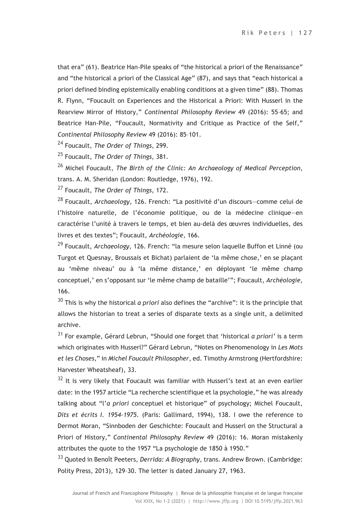that era" (61). Beatrice Han-Pile speaks of "the historical a priori of the Renaissance" and "the historical a priori of the Classical Age" (87), and says that "each historical a priori defined binding epistemically enabling conditions at a given time" (88). Thomas R. Flynn, "Foucault on Experiences and the Historical a Priori: With Husserl in the Rearview Mirror of History," *Continental Philosophy Review* 49 (2016): 55–65; and Beatrice Han-Pile, "Foucault, Normativity and Critique as Practice of the Self," *Continental Philosophy Review* 49 (2016): 85–101.

<sup>24</sup> Foucault, *The Order of Things*, 299.

<sup>25</sup> Foucault, *The Order of Things*, 381.

<sup>26</sup> Michel Foucault, *The Birth of the Clinic: An Archaeology of Medical Perception*, trans. A. M. Sheridan (London: Routledge, 1976), 192.

<sup>27</sup> Foucault, *The Order of Things*, 172.

<sup>28</sup> Foucault, *Archaeology*, 126. French: "La positivité d'un discours—comme celui de l'histoire naturelle, de l'économie politique, ou de la médecine clinique—en caractérise l'unité à travers le temps, et bien au-delà des œuvres individuelles, des livres et des textes"; Foucault, *Archéologie*, 166.

<sup>29</sup> Foucault, *Archaeology*, 126. French: "la mesure selon laquelle Buffon et Linné (ou Turgot et Quesnay, Broussais et Bichat) parlaient de 'la même chose,' en se plaçant au 'même niveau' ou à 'la même distance,' en déployant 'le même champ conceptuel,' en s'opposant sur 'le même champ de bataille'"; Foucault, *Archéologie*, 166.

<sup>30</sup> This is why the historical *a priori* also defines the "archive": it is the principle that allows the historian to treat a series of disparate texts as a single unit, a delimited archive.

<sup>31</sup> For example, Gérard Lebrun, "Should one forget that 'historical *a priori'* is a term which originates with Husserl?" Gérard Lebrun, "Notes on Phenomenology in *Les Mots et les Choses*," in *Michel Foucault Philosopher*, ed. Timothy Armstrong (Hertfordshire: Harvester Wheatsheaf), 33.

 $32$  It is very likely that Foucault was familiar with Husserl's text at an even earlier date: in the 1957 article "La recherche scientifique et la psychologie," he was already talking about "l'*a priori* conceptuel et historique" of psychology; Michel Foucault, *Dits et écrits I. 1954-1975.* (Paris: Gallimard, 1994), 138. I owe the reference to Dermot Moran, "Sinnboden der Geschichte: Foucault and Husserl on the Structural a Priori of History," *Continental Philosophy Review* 49 (2016): 16. Moran mistakenly attributes the quote to the 1957 "La psychologie de 1850 à 1950."

<sup>33</sup> Quoted in Benoît Peeters, *Derrida: A Biography*, trans. Andrew Brown. (Cambridge: Polity Press, 2013), 129–30. The letter is dated January 27, 1963.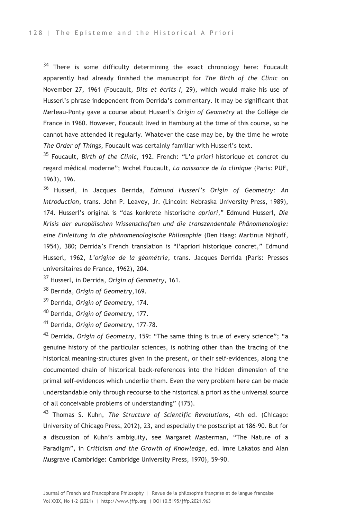$34$  There is some difficulty determining the exact chronology here: Foucault apparently had already finished the manuscript for *The Birth of the Clinic* on November 27, 1961 (Foucault, *Dits et écrits I*, 29), which would make his use of Husserl's phrase independent from Derrida's commentary. It may be significant that Merleau-Ponty gave a course about Husserl's *Origin of Geometry* at the Collège de France in 1960. However, Foucault lived in Hamburg at the time of this course, so he cannot have attended it regularly. Whatever the case may be, by the time he wrote *The Order of Things*, Foucault was certainly familiar with Husserl's text.

<sup>35</sup> Foucault, *Birth of the Clinic*, 192. French: "L'*a priori* historique et concret du regard médical moderne"; Michel Foucault, *La naissance de la clinique* (Paris: PUF, 1963), 196.

<sup>36</sup> Husserl, in Jacques Derrida, *Edmund Husserl's Origin of Geometry: An Introduction*, trans. John P. Leavey, Jr. (Lincoln: Nebraska University Press, 1989), 174. Husserl's original is "das konkrete historische *apriori*," Edmund Husserl, *Die Krisis der europäischen Wissenschaften und die transzendentale Phänomenologie: eine Einleitung in die phänomenologische Philosophie* (Den Haag: Martinus Nijhoff, 1954), 380; Derrida's French translation is "l'apriori historique concret," Edmund Husserl, 1962, *L'origine de la géométrie,* trans. Jacques Derrida (Paris: Presses universitaires de France, 1962), 204.

<sup>37</sup> Husserl, in Derrida, *Origin of Geometry*, 161.

<sup>38</sup> Derrida, *Origin of Geometry*,169.

<sup>39</sup> Derrida, *Origin of Geometry*, 174.

<sup>40</sup> Derrida, *Origin of Geometry*, 177.

<sup>41</sup> Derrida, *Origin of Geometry*, 177–78.

<sup>42</sup> Derrida, *Origin of Geometry*, 159: "The same thing is true of every science"; "a genuine history of the particular sciences, is nothing other than the tracing of the historical meaning-structures given in the present, or their self-evidences, along the documented chain of historical back-references into the hidden dimension of the primal self-evidences which underlie them. Even the very problem here can be made understandable only through recourse to the historical a priori as the universal source of all conceivable problems of understanding" (175).

<sup>43</sup> Thomas S. Kuhn, *The Structure of Scientific Revolutions*, 4th ed. (Chicago: University of Chicago Press, 2012), 23, and especially the postscript at 186–90. But for a discussion of Kuhn's ambiguity, see Margaret Masterman, "The Nature of a Paradigm", in *Criticism and the Growth of Knowledge*, ed. Imre Lakatos and Alan Musgrave (Cambridge: Cambridge University Press, 1970), 59–90.